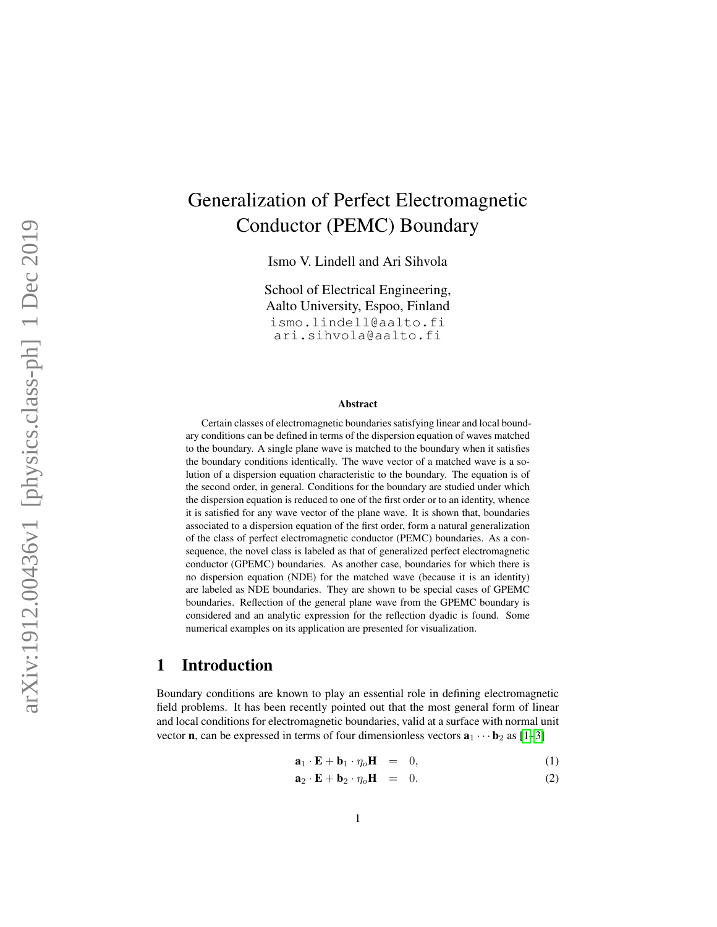# Generalization of Perfect Electromagnetic Conductor (PEMC) Boundary

Ismo V. Lindell and Ari Sihvola

School of Electrical Engineering, Aalto University, Espoo, Finland ismo.lindell@aalto.fi ari.sihvola@aalto.fi

#### Abstract

Certain classes of electromagnetic boundaries satisfying linear and local boundary conditions can be defined in terms of the dispersion equation of waves matched to the boundary. A single plane wave is matched to the boundary when it satisfies the boundary conditions identically. The wave vector of a matched wave is a solution of a dispersion equation characteristic to the boundary. The equation is of the second order, in general. Conditions for the boundary are studied under which the dispersion equation is reduced to one of the first order or to an identity, whence it is satisfied for any wave vector of the plane wave. It is shown that, boundaries associated to a dispersion equation of the first order, form a natural generalization of the class of perfect electromagnetic conductor (PEMC) boundaries. As a consequence, the novel class is labeled as that of generalized perfect electromagnetic conductor (GPEMC) boundaries. As another case, boundaries for which there is no dispersion equation (NDE) for the matched wave (because it is an identity) are labeled as NDE boundaries. They are shown to be special cases of GPEMC boundaries. Reflection of the general plane wave from the GPEMC boundary is considered and an analytic expression for the reflection dyadic is found. Some numerical examples on its application are presented for visualization.

## 1 Introduction

Boundary conditions are known to play an essential role in defining electromagnetic field problems. It has been recently pointed out that the most general form of linear and local conditions for electromagnetic boundaries, valid at a surface with normal unit vector **n**, can be expressed in terms of four dimensionless vectors  $\mathbf{a}_1 \cdots \mathbf{b}_2$  as [\[1](#page-14-0)[–3\]](#page-14-1)

<span id="page-0-0"></span>
$$
\mathbf{a}_1 \cdot \mathbf{E} + \mathbf{b}_1 \cdot \eta_o \mathbf{H} = 0, \tag{1}
$$

$$
\mathbf{a}_2 \cdot \mathbf{E} + \mathbf{b}_2 \cdot \eta_o \mathbf{H} = 0. \tag{2}
$$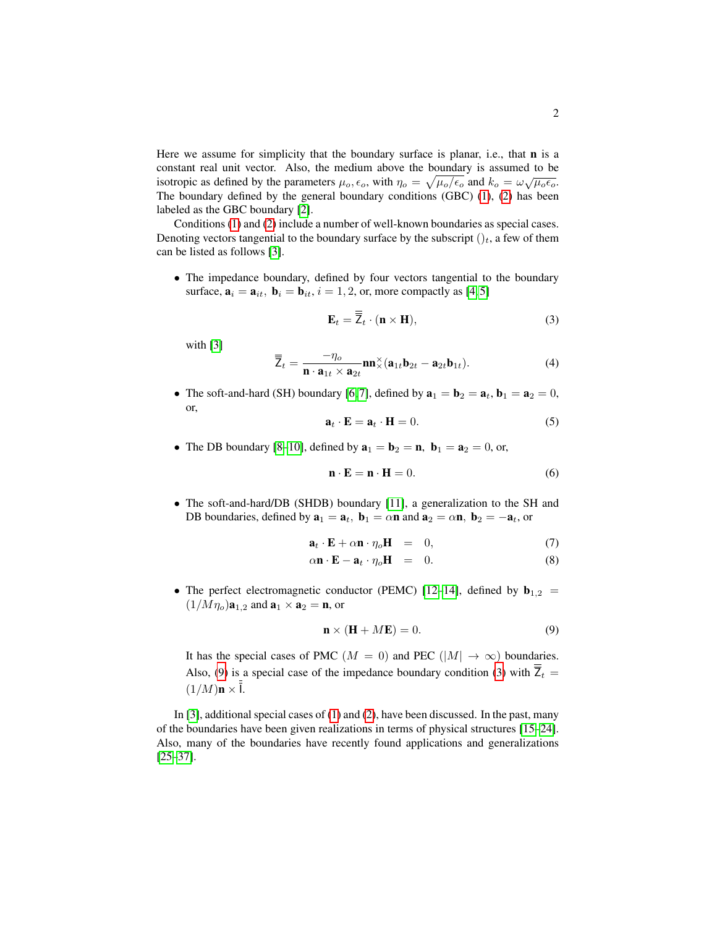Here we assume for simplicity that the boundary surface is planar, i.e., that  **is a** constant real unit vector. Also, the medium above the boundary is assumed to be isotropic as defined by the parameters  $\mu_0$ ,  $\epsilon_0$ , with  $\eta_0 = \sqrt{\mu_0/\epsilon_0}$  and  $k_0 = \omega \sqrt{\mu_0 \epsilon_0}$ . The boundary defined by the general boundary conditions (GBC) [\(1\)](#page-0-0), [\(2\)](#page-0-0) has been labeled as the GBC boundary [\[2\]](#page-14-2).

Conditions [\(1\)](#page-0-0) and [\(2\)](#page-0-0) include a number of well-known boundaries as special cases. Denoting vectors tangential to the boundary surface by the subscript  $()_t$ , a few of them can be listed as follows [\[3\]](#page-14-1).

• The impedance boundary, defined by four vectors tangential to the boundary surface,  $\mathbf{a}_i = \mathbf{a}_{it}$ ,  $\mathbf{b}_i = \mathbf{b}_{it}$ ,  $i = 1, 2$ , or, more compactly as [\[4,](#page-14-3)5]

<span id="page-1-1"></span>
$$
\mathbf{E}_t = \overline{\mathbf{Z}}_t \cdot (\mathbf{n} \times \mathbf{H}),\tag{3}
$$

with [\[3\]](#page-14-1)

$$
\overline{\overline{Z}}_t = \frac{-\eta_o}{\mathbf{n} \cdot \mathbf{a}_{1t} \times \mathbf{a}_{2t}} \mathbf{nn}_\times^{\times} (\mathbf{a}_{1t} \mathbf{b}_{2t} - \mathbf{a}_{2t} \mathbf{b}_{1t}). \tag{4}
$$

• The soft-and-hard (SH) boundary [\[6,](#page-14-5)7], defined by  $\mathbf{a}_1 = \mathbf{b}_2 = \mathbf{a}_t$ ,  $\mathbf{b}_1 = \mathbf{a}_2 = 0$ , or,

$$
\mathbf{a}_t \cdot \mathbf{E} = \mathbf{a}_t \cdot \mathbf{H} = 0. \tag{5}
$$

• The DB boundary [\[8](#page-14-7)[–10\]](#page-14-8), defined by  $\mathbf{a}_1 = \mathbf{b}_2 = \mathbf{n}$ ,  $\mathbf{b}_1 = \mathbf{a}_2 = 0$ , or,

$$
\mathbf{n} \cdot \mathbf{E} = \mathbf{n} \cdot \mathbf{H} = 0. \tag{6}
$$

• The soft-and-hard/DB (SHDB) boundary [\[11\]](#page-14-9), a generalization to the SH and DB boundaries, defined by  $\mathbf{a}_1 = \mathbf{a}_t$ ,  $\mathbf{b}_1 = \alpha \mathbf{n}$  and  $\mathbf{a}_2 = \alpha \mathbf{n}$ ,  $\mathbf{b}_2 = -\mathbf{a}_t$ , or

$$
\mathbf{a}_t \cdot \mathbf{E} + \alpha \mathbf{n} \cdot \eta_o \mathbf{H} = 0, \tag{7}
$$

$$
\alpha \mathbf{n} \cdot \mathbf{E} - \mathbf{a}_t \cdot \eta_o \mathbf{H} = 0. \tag{8}
$$

• The perfect electromagnetic conductor (PEMC) [\[12–](#page-14-10)[14\]](#page-15-0), defined by **<sub>1,2</sub> =**  $(1/M\eta_o)\mathbf{a}_{1,2}$  and  $\mathbf{a}_1 \times \mathbf{a}_2 = \mathbf{n}$ , or

<span id="page-1-0"></span>
$$
\mathbf{n} \times (\mathbf{H} + M\mathbf{E}) = 0. \tag{9}
$$

It has the special cases of PMC ( $M = 0$ ) and PEC ( $|M| \to \infty$ ) boundaries. Also, [\(9\)](#page-1-0) is a special case of the impedance boundary condition [\(3\)](#page-1-1) with  $\overline{\overline{Z}}_t =$  $(1/M)$ **n**  $\times$  **l**.

In [\[3\]](#page-14-1), additional special cases of  $(1)$  and  $(2)$ , have been discussed. In the past, many of the boundaries have been given realizations in terms of physical structures [\[15–](#page-15-1)[24\]](#page-15-2). Also, many of the boundaries have recently found applications and generalizations [\[25](#page-15-3)[–37\]](#page-16-0).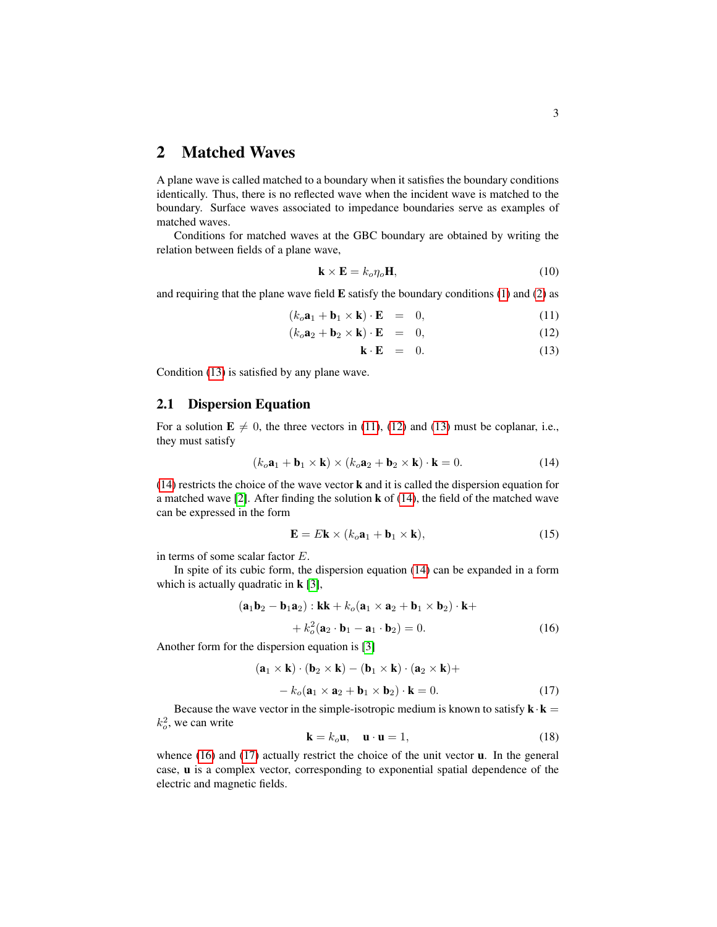## 2 Matched Waves

A plane wave is called matched to a boundary when it satisfies the boundary conditions identically. Thus, there is no reflected wave when the incident wave is matched to the boundary. Surface waves associated to impedance boundaries serve as examples of matched waves.

Conditions for matched waves at the GBC boundary are obtained by writing the relation between fields of a plane wave,

$$
\mathbf{k} \times \mathbf{E} = k_o \eta_o \mathbf{H},\tag{10}
$$

and requiring that the plane wave field  $E$  satisfy the boundary conditions [\(1\)](#page-0-0) and [\(2\)](#page-0-0) as

<span id="page-2-0"></span>
$$
(k_o \mathbf{a}_1 + \mathbf{b}_1 \times \mathbf{k}) \cdot \mathbf{E} = 0, \tag{11}
$$

$$
(k_o \mathbf{a}_2 + \mathbf{b}_2 \times \mathbf{k}) \cdot \mathbf{E} = 0, \tag{12}
$$

$$
\mathbf{k} \cdot \mathbf{E} = 0. \tag{13}
$$

Condition [\(13\)](#page-2-0) is satisfied by any plane wave.

#### 2.1 Dispersion Equation

For a solution  $\mathbf{E} \neq 0$ , the three vectors in [\(11\)](#page-2-0), [\(12\)](#page-2-0) and [\(13\)](#page-2-0) must be coplanar, i.e., they must satisfy

<span id="page-2-1"></span>
$$
(k_o \mathbf{a}_1 + \mathbf{b}_1 \times \mathbf{k}) \times (k_o \mathbf{a}_2 + \mathbf{b}_2 \times \mathbf{k}) \cdot \mathbf{k} = 0.
$$
 (14)

[\(14\)](#page-2-1) restricts the choice of the wave vector k and it is called the dispersion equation for a matched wave  $[2]$ . After finding the solution **k** of  $(14)$ , the field of the matched wave can be expressed in the form

$$
\mathbf{E} = E\mathbf{k} \times (k_o \mathbf{a}_1 + \mathbf{b}_1 \times \mathbf{k}), \tag{15}
$$

in terms of some scalar factor E.

In spite of its cubic form, the dispersion equation [\(14\)](#page-2-1) can be expanded in a form which is actually quadratic in  $\mathbf{k}$  [\[3\]](#page-14-1),

<span id="page-2-2"></span>
$$
(\mathbf{a}_1 \mathbf{b}_2 - \mathbf{b}_1 \mathbf{a}_2) : \mathbf{k} \mathbf{k} + k_o (\mathbf{a}_1 \times \mathbf{a}_2 + \mathbf{b}_1 \times \mathbf{b}_2) \cdot \mathbf{k} ++ k_o^2 (\mathbf{a}_2 \cdot \mathbf{b}_1 - \mathbf{a}_1 \cdot \mathbf{b}_2) = 0.
$$
 (16)

Another form for the dispersion equation is [\[3\]](#page-14-1)

<span id="page-2-3"></span>
$$
(\mathbf{a}_1 \times \mathbf{k}) \cdot (\mathbf{b}_2 \times \mathbf{k}) - (\mathbf{b}_1 \times \mathbf{k}) \cdot (\mathbf{a}_2 \times \mathbf{k}) +- k_o (\mathbf{a}_1 \times \mathbf{a}_2 + \mathbf{b}_1 \times \mathbf{b}_2) \cdot \mathbf{k} = 0.
$$
 (17)

Because the wave vector in the simple-isotropic medium is known to satisfy  $\mathbf{k} \cdot \mathbf{k} =$  $k_o^2$ , we can write

$$
\mathbf{k} = k_o \mathbf{u}, \quad \mathbf{u} \cdot \mathbf{u} = 1,\tag{18}
$$

whence [\(16\)](#page-2-2) and [\(17\)](#page-2-3) actually restrict the choice of the unit vector **u**. In the general case, u is a complex vector, corresponding to exponential spatial dependence of the electric and magnetic fields.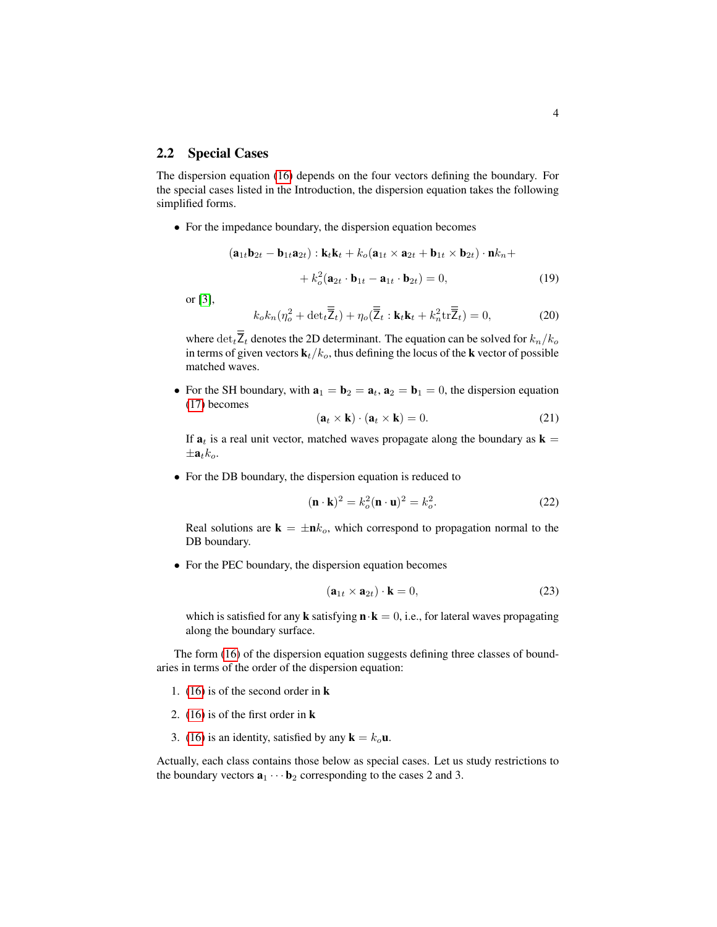#### 2.2 Special Cases

The dispersion equation [\(16\)](#page-2-2) depends on the four vectors defining the boundary. For the special cases listed in the Introduction, the dispersion equation takes the following simplified forms.

• For the impedance boundary, the dispersion equation becomes

$$
(\mathbf{a}_{1t}\mathbf{b}_{2t} - \mathbf{b}_{1t}\mathbf{a}_{2t}) : \mathbf{k}_t\mathbf{k}_t + k_o(\mathbf{a}_{1t} \times \mathbf{a}_{2t} + \mathbf{b}_{1t} \times \mathbf{b}_{2t}) \cdot \mathbf{n}k_n ++ k_o^2(\mathbf{a}_{2t} \cdot \mathbf{b}_{1t} - \mathbf{a}_{1t} \cdot \mathbf{b}_{2t}) = 0,
$$
 (19)

or [\[3\]](#page-14-1),

$$
k_o k_n (\eta_o^2 + \det_t \overline{Z}_t) + \eta_o(\overline{Z}_t : \mathbf{k}_t \mathbf{k}_t + k_n^2 \text{tr}\overline{Z}_t) = 0,
$$
 (20)

where  $\det_{\overline{z}} \overline{z}_t$  denotes the 2D determinant. The equation can be solved for  $k_n/k_o$ in terms of given vectors  $\mathbf{k}_t/k_o$ , thus defining the locus of the **k** vector of possible matched waves.

• For the SH boundary, with  $\mathbf{a}_1 = \mathbf{b}_2 = \mathbf{a}_t$ ,  $\mathbf{a}_2 = \mathbf{b}_1 = 0$ , the dispersion equation [\(17\)](#page-2-3) becomes

$$
(\mathbf{a}_t \times \mathbf{k}) \cdot (\mathbf{a}_t \times \mathbf{k}) = 0. \tag{21}
$$

If  $a_t$  is a real unit vector, matched waves propagate along the boundary as  $k =$  $\pm a_t k_o$ .

• For the DB boundary, the dispersion equation is reduced to

$$
(\mathbf{n} \cdot \mathbf{k})^2 = k_o^2 (\mathbf{n} \cdot \mathbf{u})^2 = k_o^2.
$$
 (22)

Real solutions are  $\mathbf{k} = \pm \mathbf{n}k_o$ , which correspond to propagation normal to the DB boundary.

• For the PEC boundary, the dispersion equation becomes

$$
(\mathbf{a}_{1t} \times \mathbf{a}_{2t}) \cdot \mathbf{k} = 0,\tag{23}
$$

which is satisfied for any **k** satisfying  $\mathbf{n} \cdot \mathbf{k} = 0$ , i.e., for lateral waves propagating along the boundary surface.

The form [\(16\)](#page-2-2) of the dispersion equation suggests defining three classes of boundaries in terms of the order of the dispersion equation:

- 1. [\(16\)](#page-2-2) is of the second order in k
- 2. [\(16\)](#page-2-2) is of the first order in k
- 3. [\(16\)](#page-2-2) is an identity, satisfied by any  $\mathbf{k} = k_o \mathbf{u}$ .

Actually, each class contains those below as special cases. Let us study restrictions to the boundary vectors  $\mathbf{a}_1 \cdots \mathbf{b}_2$  corresponding to the cases 2 and 3.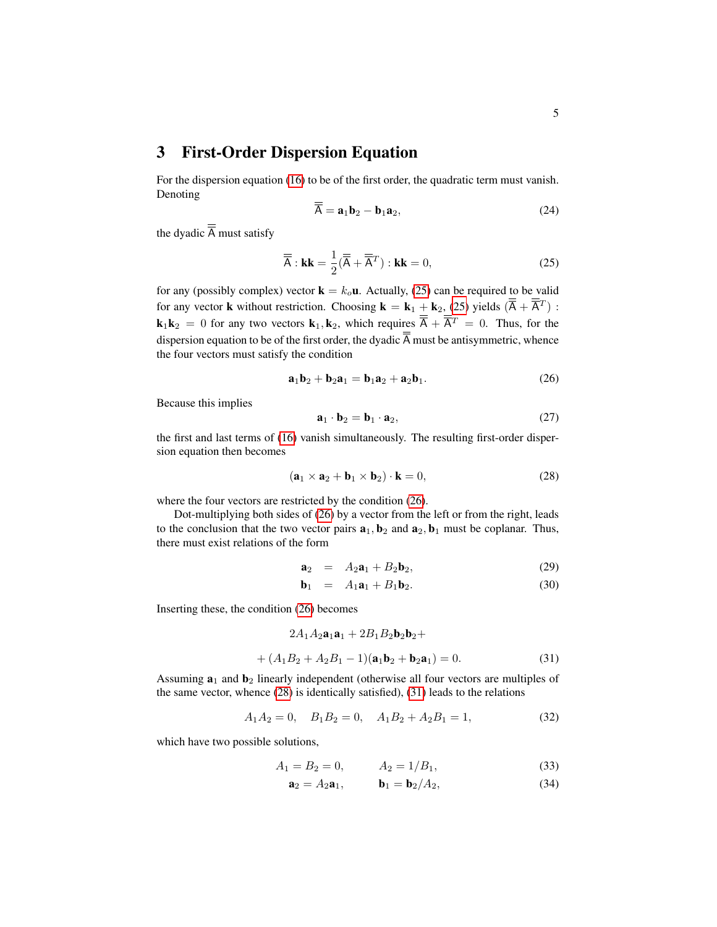3 First-Order Dispersion Equation

For the dispersion equation [\(16\)](#page-2-2) to be of the first order, the quadratic term must vanish. Denoting

$$
\overline{A} = \mathbf{a}_1 \mathbf{b}_2 - \mathbf{b}_1 \mathbf{a}_2, \tag{24}
$$

the dyadic  $\overline{\overline{A}}$  must satisfy

<span id="page-4-0"></span>
$$
\overline{\overline{A}} : \mathbf{k}\mathbf{k} = \frac{1}{2}(\overline{\overline{A}} + \overline{\overline{A}}^T) : \mathbf{k}\mathbf{k} = 0,
$$
 (25)

for any (possibly complex) vector  $\mathbf{k} = k_o \mathbf{u}$ . Actually, [\(25\)](#page-4-0) can be required to be valid for any vector **k** without restriction. Choosing  $\mathbf{k} = \mathbf{k}_1 + \mathbf{k}_2$ , [\(25\)](#page-4-0) yields  $(\overline{A} + \overline{A}^T)$ :  ${\bf k}_1 {\bf k}_2 = 0$  for any two vectors  ${\bf k}_1, {\bf k}_2$ , which requires  $\overline{A} + \overline{A}^T = 0$ . Thus, for the dispersion equation to be of the first order, the dyadic  $\overline{\overline{A}}$  must be antisymmetric, whence the four vectors must satisfy the condition

<span id="page-4-1"></span>
$$
\mathbf{a}_1 \mathbf{b}_2 + \mathbf{b}_2 \mathbf{a}_1 = \mathbf{b}_1 \mathbf{a}_2 + \mathbf{a}_2 \mathbf{b}_1. \tag{26}
$$

Because this implies

$$
\mathbf{a}_1 \cdot \mathbf{b}_2 = \mathbf{b}_1 \cdot \mathbf{a}_2, \tag{27}
$$

the first and last terms of [\(16\)](#page-2-2) vanish simultaneously. The resulting first-order dispersion equation then becomes

<span id="page-4-2"></span>
$$
(\mathbf{a}_1 \times \mathbf{a}_2 + \mathbf{b}_1 \times \mathbf{b}_2) \cdot \mathbf{k} = 0,
$$
 (28)

where the four vectors are restricted by the condition [\(26\)](#page-4-1).

Dot-multiplying both sides of [\(26\)](#page-4-1) by a vector from the left or from the right, leads to the conclusion that the two vector pairs  $\mathbf{a}_1, \mathbf{b}_2$  and  $\mathbf{a}_2, \mathbf{b}_1$  must be coplanar. Thus, there must exist relations of the form

$$
\mathbf{a}_2 = A_2 \mathbf{a}_1 + B_2 \mathbf{b}_2, \tag{29}
$$

$$
\mathbf{b}_1 = A_1 \mathbf{a}_1 + B_1 \mathbf{b}_2. \tag{30}
$$

Inserting these, the condition [\(26\)](#page-4-1) becomes

<span id="page-4-3"></span>
$$
2A_1A_2\mathbf{a}_1\mathbf{a}_1 + 2B_1B_2\mathbf{b}_2\mathbf{b}_2 + + (A_1B_2 + A_2B_1 - 1)(\mathbf{a}_1\mathbf{b}_2 + \mathbf{b}_2\mathbf{a}_1) = 0.
$$
 (31)

Assuming  $a_1$  and  $b_2$  linearly independent (otherwise all four vectors are multiples of the same vector, whence [\(28\)](#page-4-2) is identically satisfied), [\(31\)](#page-4-3) leads to the relations

$$
A_1 A_2 = 0, \quad B_1 B_2 = 0, \quad A_1 B_2 + A_2 B_1 = 1,\tag{32}
$$

which have two possible solutions,

<span id="page-4-4"></span>
$$
A_1 = B_2 = 0, \qquad A_2 = 1/B_1,\tag{33}
$$

$$
\mathbf{a}_2 = A_2 \mathbf{a}_1, \qquad \mathbf{b}_1 = \mathbf{b}_2 / A_2, \tag{34}
$$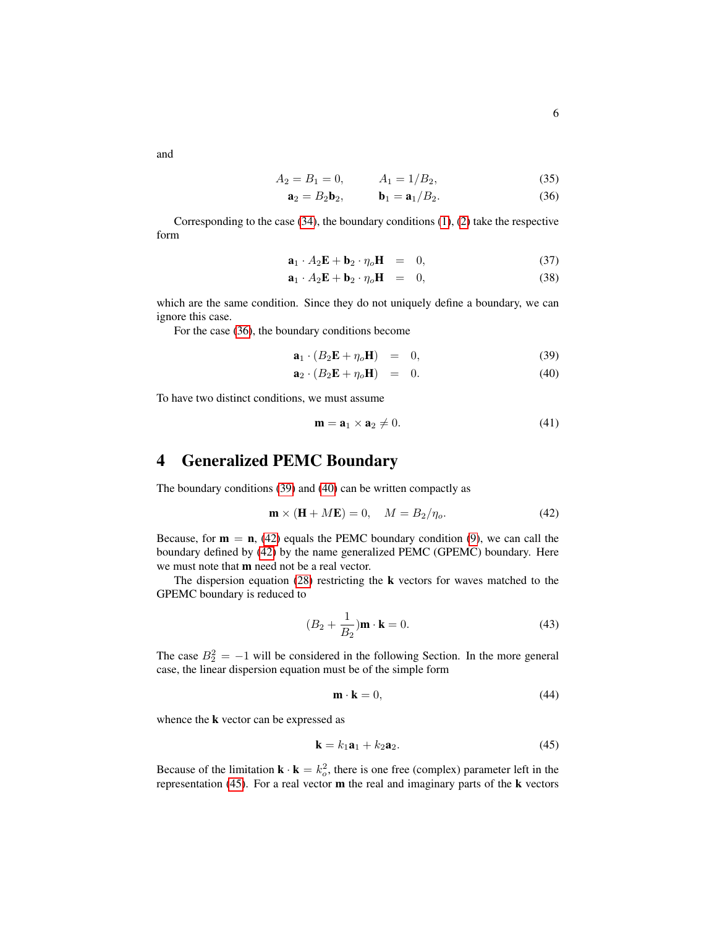and

<span id="page-5-0"></span>
$$
A_2 = B_1 = 0, \qquad A_1 = 1/B_2,\tag{35}
$$

$$
\mathbf{a}_2 = B_2 \mathbf{b}_2, \qquad \mathbf{b}_1 = \mathbf{a}_1 / B_2. \tag{36}
$$

Corresponding to the case [\(34\)](#page-4-4), the boundary conditions [\(1\)](#page-0-0), [\(2\)](#page-0-0) take the respective form

$$
\mathbf{a}_1 \cdot A_2 \mathbf{E} + \mathbf{b}_2 \cdot \eta_o \mathbf{H} = 0, \tag{37}
$$

$$
\mathbf{a}_1 \cdot A_2 \mathbf{E} + \mathbf{b}_2 \cdot \eta_o \mathbf{H} = 0, \tag{38}
$$

which are the same condition. Since they do not uniquely define a boundary, we can ignore this case.

For the case [\(36\)](#page-5-0), the boundary conditions become

<span id="page-5-1"></span>
$$
\mathbf{a}_1 \cdot (B_2 \mathbf{E} + \eta_o \mathbf{H}) = 0, \tag{39}
$$

$$
\mathbf{a}_2 \cdot (B_2 \mathbf{E} + \eta_o \mathbf{H}) = 0. \tag{40}
$$

To have two distinct conditions, we must assume

$$
\mathbf{m} = \mathbf{a}_1 \times \mathbf{a}_2 \neq 0. \tag{41}
$$

## 4 Generalized PEMC Boundary

The boundary conditions [\(39\)](#page-5-1) and [\(40\)](#page-5-1) can be written compactly as

<span id="page-5-2"></span>
$$
\mathbf{m} \times (\mathbf{H} + M\mathbf{E}) = 0, \quad M = B_2/\eta_o.
$$
 (42)

Because, for  $m = n$ , [\(42\)](#page-5-2) equals the PEMC boundary condition [\(9\)](#page-1-0), we can call the boundary defined by [\(42\)](#page-5-2) by the name generalized PEMC (GPEMC) boundary. Here we must note that m need not be a real vector.

The dispersion equation  $(28)$  restricting the **k** vectors for waves matched to the GPEMC boundary is reduced to

$$
(B_2 + \frac{1}{B_2})\mathbf{m} \cdot \mathbf{k} = 0.
$$
 (43)

The case  $B_2^2 = -1$  will be considered in the following Section. In the more general case, the linear dispersion equation must be of the simple form

<span id="page-5-4"></span>
$$
\mathbf{m} \cdot \mathbf{k} = 0,\tag{44}
$$

whence the k vector can be expressed as

<span id="page-5-3"></span>
$$
\mathbf{k} = k_1 \mathbf{a}_1 + k_2 \mathbf{a}_2. \tag{45}
$$

Because of the limitation  $\mathbf{k} \cdot \mathbf{k} = k_o^2$ , there is one free (complex) parameter left in the representation  $(45)$ . For a real vector **m** the real and imaginary parts of the **k** vectors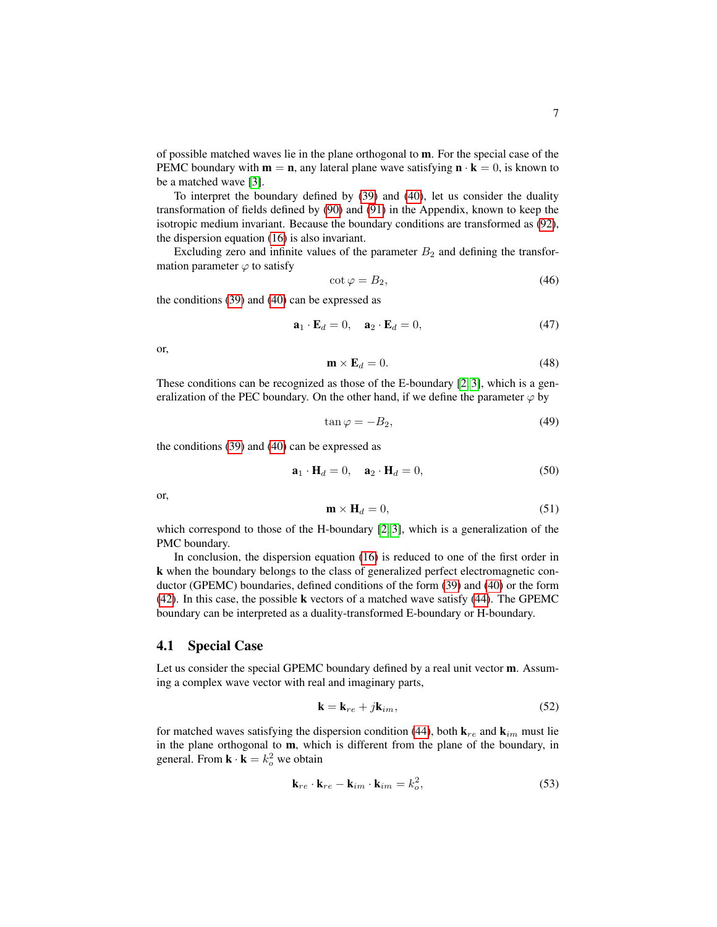of possible matched waves lie in the plane orthogonal to m. For the special case of the PEMC boundary with  $m = n$ , any lateral plane wave satisfying  $n \cdot k = 0$ , is known to be a matched wave [\[3\]](#page-14-1).

To interpret the boundary defined by [\(39\)](#page-5-1) and [\(40\)](#page-5-1), let us consider the duality transformation of fields defined by [\(90\)](#page-12-0) and [\(91\)](#page-13-0) in the Appendix, known to keep the isotropic medium invariant. Because the boundary conditions are transformed as [\(92\)](#page-13-1), the dispersion equation [\(16\)](#page-2-2) is also invariant.

Excluding zero and infinite values of the parameter  $B_2$  and defining the transformation parameter  $\varphi$  to satisfy

$$
\cot \varphi = B_2,\tag{46}
$$

the conditions [\(39\)](#page-5-1) and [\(40\)](#page-5-1) can be expressed as

$$
\mathbf{a}_1 \cdot \mathbf{E}_d = 0, \quad \mathbf{a}_2 \cdot \mathbf{E}_d = 0,\tag{47}
$$

or,

$$
\mathbf{m} \times \mathbf{E}_d = 0. \tag{48}
$$

These conditions can be recognized as those of the E-boundary [\[2,](#page-14-2) [3\]](#page-14-1), which is a generalization of the PEC boundary. On the other hand, if we define the parameter  $\varphi$  by

$$
\tan \varphi = -B_2,\tag{49}
$$

the conditions [\(39\)](#page-5-1) and [\(40\)](#page-5-1) can be expressed as

$$
\mathbf{a}_1 \cdot \mathbf{H}_d = 0, \quad \mathbf{a}_2 \cdot \mathbf{H}_d = 0,\tag{50}
$$

or,

$$
\mathbf{m} \times \mathbf{H}_d = 0,\tag{51}
$$

which correspond to those of the H-boundary [\[2,](#page-14-2) [3\]](#page-14-1), which is a generalization of the PMC boundary.

In conclusion, the dispersion equation [\(16\)](#page-2-2) is reduced to one of the first order in k when the boundary belongs to the class of generalized perfect electromagnetic conductor (GPEMC) boundaries, defined conditions of the form [\(39\)](#page-5-1) and [\(40\)](#page-5-1) or the form [\(42\)](#page-5-2). In this case, the possible k vectors of a matched wave satisfy [\(44\)](#page-5-4). The GPEMC boundary can be interpreted as a duality-transformed E-boundary or H-boundary.

#### 4.1 Special Case

Let us consider the special GPEMC boundary defined by a real unit vector m. Assuming a complex wave vector with real and imaginary parts,

$$
\mathbf{k} = \mathbf{k}_{re} + j\mathbf{k}_{im},\tag{52}
$$

for matched waves satisfying the dispersion condition [\(44\)](#page-5-4), both  $\mathbf{k}_{re}$  and  $\mathbf{k}_{im}$  must lie in the plane orthogonal to m, which is different from the plane of the boundary, in general. From  $\mathbf{k} \cdot \mathbf{k} = k_o^2$  we obtain

$$
\mathbf{k}_{re} \cdot \mathbf{k}_{re} - \mathbf{k}_{im} \cdot \mathbf{k}_{im} = k_o^2,
$$
 (53)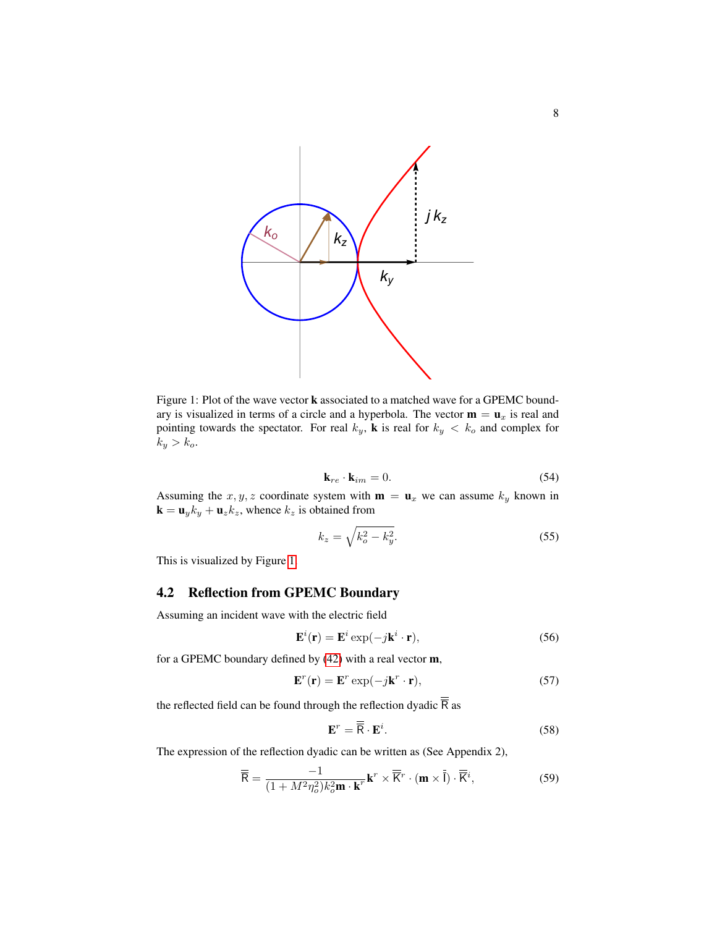

<span id="page-7-0"></span>Figure 1: Plot of the wave vector k associated to a matched wave for a GPEMC boundary is visualized in terms of a circle and a hyperbola. The vector  $\mathbf{m} = \mathbf{u}_x$  is real and pointing towards the spectator. For real  $k_y$ , **k** is real for  $k_y < k_o$  and complex for  $k_y > k_o.$ 

$$
\mathbf{k}_{re} \cdot \mathbf{k}_{im} = 0. \tag{54}
$$

Assuming the x, y, z coordinate system with  $\mathbf{m} = \mathbf{u}_x$  we can assume  $k_y$  known in  $\mathbf{k} = \mathbf{u}_y k_y + \mathbf{u}_z k_z$ , whence  $k_z$  is obtained from

$$
k_z = \sqrt{k_o^2 - k_y^2}.\tag{55}
$$

This is visualized by Figure [1.](#page-7-0)

### 4.2 Reflection from GPEMC Boundary

Assuming an incident wave with the electric field

$$
\mathbf{E}^i(\mathbf{r}) = \mathbf{E}^i \exp(-j\mathbf{k}^i \cdot \mathbf{r}),\tag{56}
$$

for a GPEMC boundary defined by [\(42\)](#page-5-2) with a real vector m,

$$
\mathbf{E}^r(\mathbf{r}) = \mathbf{E}^r \exp(-j\mathbf{k}^r \cdot \mathbf{r}),\tag{57}
$$

the reflected field can be found through the reflection dyadic  $\overline{\overline{R}}$  as

$$
\mathbf{E}^r = \overline{\mathbf{R}} \cdot \mathbf{E}^i. \tag{58}
$$

The expression of the reflection dyadic can be written as (See Appendix 2),

<span id="page-7-1"></span>
$$
\overline{\overline{\mathsf{R}}} = \frac{-1}{(1 + M^2 \eta_o^2) k_o^2 \mathbf{m} \cdot \mathbf{k}^r} \mathbf{k}^r \times \overline{\overline{\mathsf{K}}}^r \cdot (\mathbf{m} \times \overline{\overline{\mathsf{I}}}) \cdot \overline{\overline{\mathsf{K}}}^i,\tag{59}
$$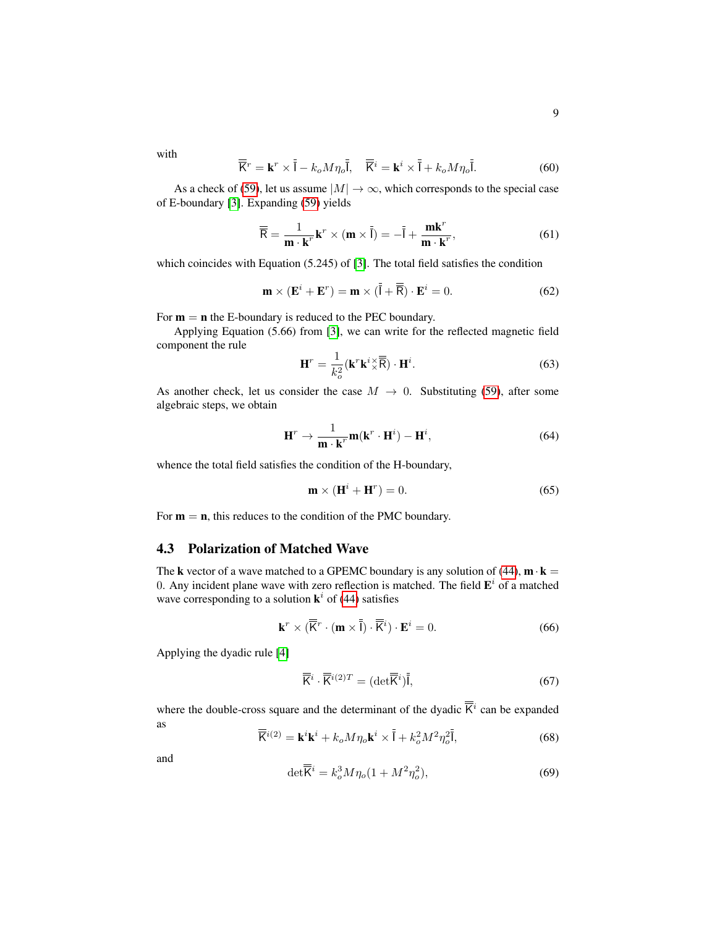with

$$
\overline{\overline{K}}^r = \mathbf{k}^r \times \overline{\overline{I}} - k_o M \eta_o \overline{\overline{I}}, \quad \overline{\overline{K}}^i = \mathbf{k}^i \times \overline{\overline{I}} + k_o M \eta_o \overline{\overline{I}}.
$$
 (60)

As a check of [\(59\)](#page-7-1), let us assume  $|M| \to \infty$ , which corresponds to the special case of E-boundary [\[3\]](#page-14-1). Expanding [\(59\)](#page-7-1) yields

$$
\overline{\overline{\mathsf{R}}} = \frac{1}{\mathbf{m} \cdot \mathbf{k}^r} \mathbf{k}^r \times (\mathbf{m} \times \overline{\overline{\mathsf{I}}}) = -\overline{\overline{\mathsf{I}}} + \frac{\mathbf{m} \mathbf{k}^r}{\mathbf{m} \cdot \mathbf{k}^r},\tag{61}
$$

which coincides with Equation (5.245) of [\[3\]](#page-14-1). The total field satisfies the condition

$$
\mathbf{m} \times (\mathbf{E}^i + \mathbf{E}^r) = \mathbf{m} \times (\bar{\bar{\mathsf{I}}} + \overline{\bar{\mathsf{R}}}) \cdot \mathbf{E}^i = 0.
$$
 (62)

For  $m = n$  the E-boundary is reduced to the PEC boundary.

Applying Equation (5.66) from [\[3\]](#page-14-1), we can write for the reflected magnetic field component the rule

$$
\mathbf{H}^r = \frac{1}{k_o^2} (\mathbf{k}^r \mathbf{k}^i \times \overline{\overline{\mathbf{R}}}) \cdot \mathbf{H}^i.
$$
 (63)

As another check, let us consider the case  $M \rightarrow 0$ . Substituting [\(59\)](#page-7-1), after some algebraic steps, we obtain

$$
\mathbf{H}^r \to \frac{1}{\mathbf{m} \cdot \mathbf{k}^r} \mathbf{m}(\mathbf{k}^r \cdot \mathbf{H}^i) - \mathbf{H}^i, \tag{64}
$$

whence the total field satisfies the condition of the H-boundary,

$$
\mathbf{m} \times (\mathbf{H}^i + \mathbf{H}^r) = 0. \tag{65}
$$

For  $m = n$ , this reduces to the condition of the PMC boundary.

#### 4.3 Polarization of Matched Wave

The k vector of a wave matched to a GPEMC boundary is any solution of [\(44\)](#page-5-4),  $\mathbf{m} \cdot \mathbf{k} =$ 0. Any incident plane wave with zero reflection is matched. The field  $\mathbf{E}^i$  of a matched wave corresponding to a solution  $\mathbf{k}^i$  of [\(44\)](#page-5-4) satisfies

$$
\mathbf{k}^r \times (\overline{\overline{\mathbf{K}}}^r \cdot (\mathbf{m} \times \overline{\overline{\mathbf{I}}}) \cdot \overline{\overline{\mathbf{K}}}^i) \cdot \mathbf{E}^i = 0.
$$
 (66)

Applying the dyadic rule [\[4\]](#page-14-3)

<span id="page-8-0"></span>
$$
\overline{\overline{\mathsf{K}}}^i \cdot \overline{\overline{\mathsf{K}}}^{i(2)T} = (\det \overline{\overline{\mathsf{K}}}^i)\overline{\overline{\mathsf{I}}},\tag{67}
$$

where the double-cross square and the determinant of the dyadic  $\overline{K}^i$  can be expanded as  $\overline{a}$ 

$$
\overline{\mathbf{K}}^{i(2)} = \mathbf{k}^i \mathbf{k}^i + k_o M \eta_o \mathbf{k}^i \times \overline{\mathbf{I}} + k_o^2 M^2 \eta_o^2 \overline{\mathbf{I}},
$$
\n(68)

and

$$
\det \overline{K}^i = k_o^3 M \eta_o (1 + M^2 \eta_o^2),\tag{69}
$$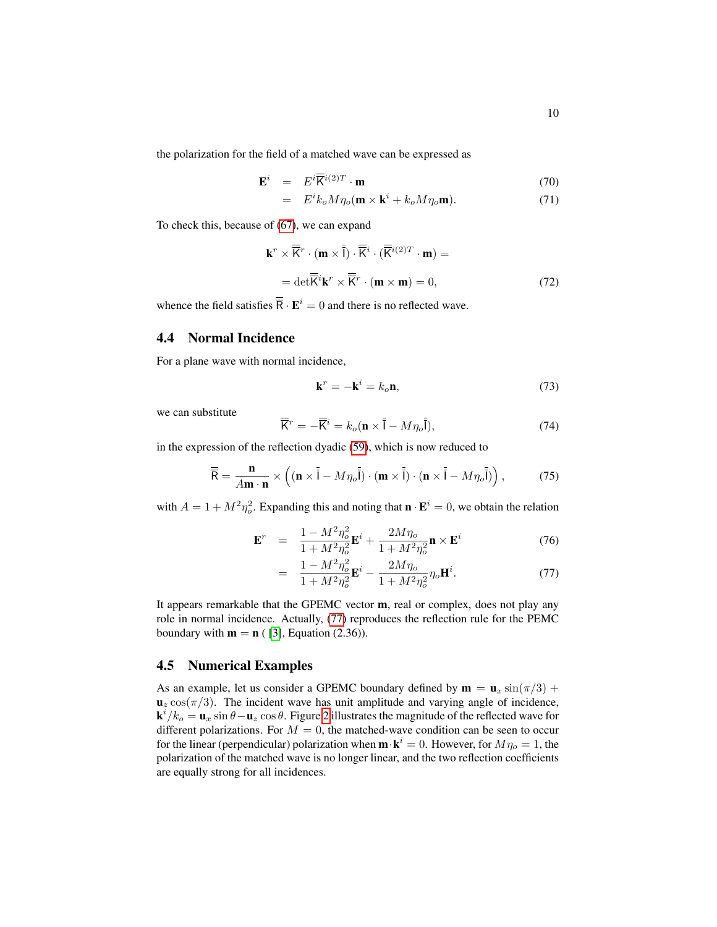the polarization for the field of a matched wave can be expressed as

$$
\mathbf{E}^i = E^i \overline{\mathbf{K}}^{i(2)T} \cdot \mathbf{m} \tag{70}
$$

$$
= E^{i}k_{o}M\eta_{o}(\mathbf{m} \times \mathbf{k}^{i} + k_{o}M\eta_{o}\mathbf{m}). \tag{71}
$$

To check this, because of [\(67\)](#page-8-0), we can expand

$$
\mathbf{k}^r \times \overline{\mathbf{K}}^r \cdot (\mathbf{m} \times \overline{\mathbf{I}}) \cdot \overline{\mathbf{K}}^i \cdot (\overline{\mathbf{K}}^{i(2)T} \cdot \mathbf{m}) =
$$
  
= det $\overline{\mathbf{K}}^i \mathbf{k}^r \times \overline{\mathbf{K}}^r \cdot (\mathbf{m} \times \mathbf{m}) = 0,$  (72)

whence the field satisfies  $\overline{\mathbf{R}} \cdot \mathbf{E}^i = 0$  and there is no reflected wave.

#### 4.4 Normal Incidence

For a plane wave with normal incidence,

$$
\mathbf{k}^r = -\mathbf{k}^i = k_o \mathbf{n},\tag{73}
$$

we can substitute

$$
\overline{\overline{K}}^r = -\overline{\overline{K}}^i = k_o (\mathbf{n} \times \overline{\overline{I}} - M\eta_o \overline{\overline{I}}),
$$
\n(74)

in the expression of the reflection dyadic [\(59\)](#page-7-1), which is now reduced to

$$
\overline{\overline{\mathsf{R}}} = \frac{\mathbf{n}}{A\mathbf{m}\cdot\mathbf{n}} \times \left( (\mathbf{n} \times \overline{\overline{\mathsf{I}}} - M\eta_o \overline{\overline{\mathsf{I}}}) \cdot (\mathbf{m} \times \overline{\overline{\mathsf{I}}} ) \cdot (\mathbf{n} \times \overline{\overline{\mathsf{I}}} - M\eta_o \overline{\overline{\mathsf{I}}} ) \right),\tag{75}
$$

with  $A = 1 + M^2 \eta_o^2$ . Expanding this and noting that  $\mathbf{n} \cdot \mathbf{E}^i = 0$ , we obtain the relation

<span id="page-9-0"></span>
$$
\mathbf{E}^r = \frac{1 - M^2 \eta_o^2}{1 + M^2 \eta_o^2} \mathbf{E}^i + \frac{2M\eta_o}{1 + M^2 \eta_o^2} \mathbf{n} \times \mathbf{E}^i
$$
 (76)

$$
= \frac{1 - M^2 \eta_o^2}{1 + M^2 \eta_o^2} \mathbf{E}^i - \frac{2M\eta_o}{1 + M^2 \eta_o^2} \eta_o \mathbf{H}^i. \tag{77}
$$

It appears remarkable that the GPEMC vector m, real or complex, does not play any role in normal incidence. Actually, [\(77\)](#page-9-0) reproduces the reflection rule for the PEMC boundary with  $m = n$  ( [\[3\]](#page-14-1), Equation (2.36)).

#### 4.5 Numerical Examples

As an example, let us consider a GPEMC boundary defined by  $\mathbf{m} = \mathbf{u}_x \sin(\pi/3) +$  $\mathbf{u}_z \cos(\pi/3)$ . The incident wave has unit amplitude and varying angle of incidence,  $\mathbf{k}^i/k_o = \mathbf{u}_x \sin \theta - \mathbf{u}_z \cos \theta$ . Figure [2](#page-10-0) illustrates the magnitude of the reflected wave for different polarizations. For  $M = 0$ , the matched-wave condition can be seen to occur for the linear (perpendicular) polarization when  $\mathbf{m} \cdot \mathbf{k}^i = 0$ . However, for  $M\eta_o = 1$ , the polarization of the matched wave is no longer linear, and the two reflection coefficients are equally strong for all incidences.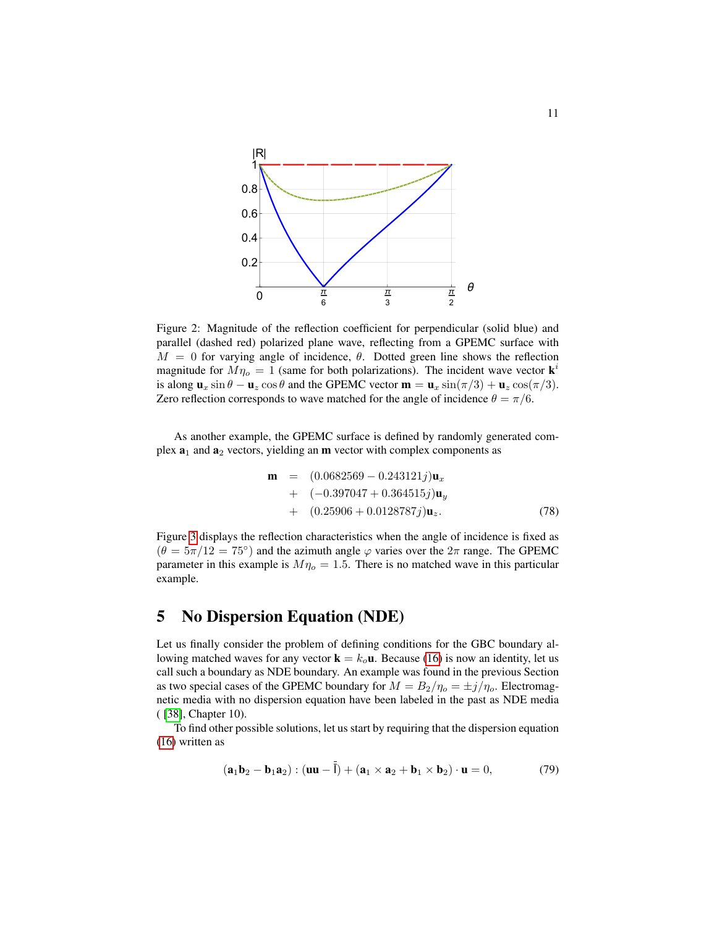

<span id="page-10-0"></span>Figure 2: Magnitude of the reflection coefficient for perpendicular (solid blue) and parallel (dashed red) polarized plane wave, reflecting from a GPEMC surface with  $M = 0$  for varying angle of incidence,  $\theta$ . Dotted green line shows the reflection magnitude for  $M\eta_o = 1$  (same for both polarizations). The incident wave vector  $\mathbf{k}^i$ is along  $\mathbf{u}_x \sin \theta - \mathbf{u}_z \cos \theta$  and the GPEMC vector  $\mathbf{m} = \mathbf{u}_x \sin(\pi/3) + \mathbf{u}_z \cos(\pi/3)$ . Zero reflection corresponds to wave matched for the angle of incidence  $\theta = \pi/6$ .

As another example, the GPEMC surface is defined by randomly generated complex  $a_1$  and  $a_2$  vectors, yielding an **m** vector with complex components as

$$
\mathbf{m} = (0.0682569 - 0.243121j)\mathbf{u}_x \n+ (-0.397047 + 0.364515j)\mathbf{u}_y \n+ (0.25906 + 0.0128787j)\mathbf{u}_z.
$$
\n(78)

Figure [3](#page-11-0) displays the reflection characteristics when the angle of incidence is fixed as  $(\theta = 5\pi/12 = 75^{\circ})$  and the azimuth angle  $\varphi$  varies over the  $2\pi$  range. The GPEMC parameter in this example is  $M\eta_o = 1.5$ . There is no matched wave in this particular example.

## 5 No Dispersion Equation (NDE)

Let us finally consider the problem of defining conditions for the GBC boundary allowing matched waves for any vector  $\mathbf{k} = k_0 \mathbf{u}$ . Because [\(16\)](#page-2-2) is now an identity, let us call such a boundary as NDE boundary. An example was found in the previous Section as two special cases of the GPEMC boundary for  $M = B_2/\eta_o = \pm j/\eta_o$ . Electromagnetic media with no dispersion equation have been labeled in the past as NDE media ( [\[38\]](#page-16-1), Chapter 10).

To find other possible solutions, let us start by requiring that the dispersion equation [\(16\)](#page-2-2) written as

<span id="page-10-1"></span>
$$
(\mathbf{a}_1 \mathbf{b}_2 - \mathbf{b}_1 \mathbf{a}_2) : (\mathbf{u}\mathbf{u} - \overline{\mathbf{l}}) + (\mathbf{a}_1 \times \mathbf{a}_2 + \mathbf{b}_1 \times \mathbf{b}_2) \cdot \mathbf{u} = 0, \tag{79}
$$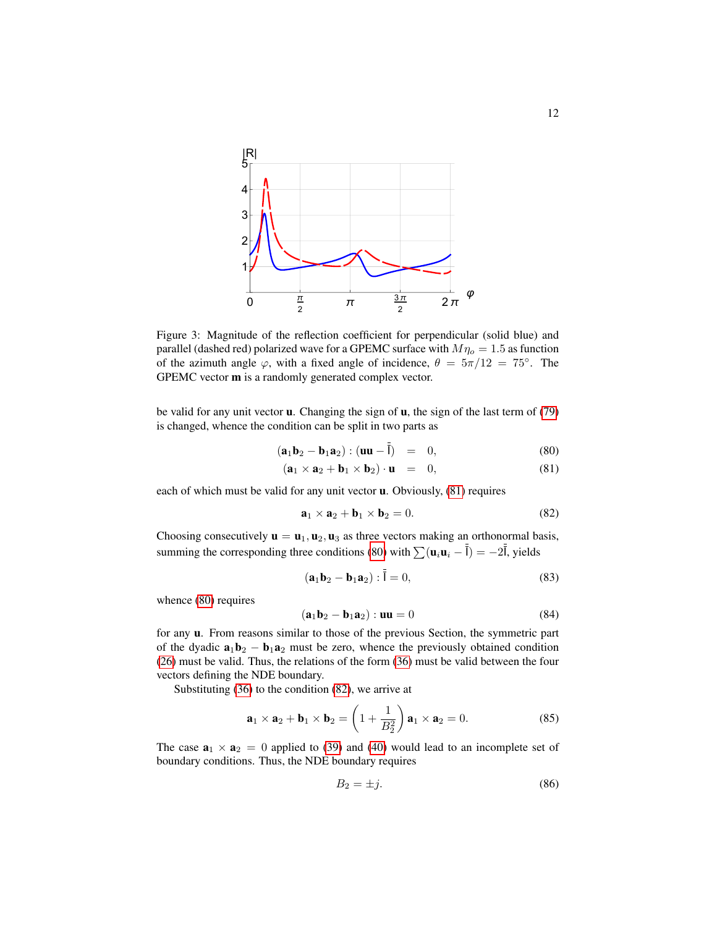

<span id="page-11-0"></span>Figure 3: Magnitude of the reflection coefficient for perpendicular (solid blue) and parallel (dashed red) polarized wave for a GPEMC surface with  $M\eta_0 = 1.5$  as function of the azimuth angle  $\varphi$ , with a fixed angle of incidence,  $\theta = 5\pi/12 = 75^\circ$ . The GPEMC vector m is a randomly generated complex vector.

be valid for any unit vector  $\mathbf u$ . Changing the sign of  $\mathbf u$ , the sign of the last term of [\(79\)](#page-10-1) is changed, whence the condition can be split in two parts as

<span id="page-11-1"></span>
$$
(\mathbf{a}_1 \mathbf{b}_2 - \mathbf{b}_1 \mathbf{a}_2) : (\mathbf{u} \mathbf{u} - \bar{\mathbf{I}}) = 0, \tag{80}
$$

$$
(\mathbf{a}_1 \times \mathbf{a}_2 + \mathbf{b}_1 \times \mathbf{b}_2) \cdot \mathbf{u} = 0, \tag{81}
$$

each of which must be valid for any unit vector u. Obviously, [\(81\)](#page-11-1) requires

<span id="page-11-2"></span>
$$
\mathbf{a}_1 \times \mathbf{a}_2 + \mathbf{b}_1 \times \mathbf{b}_2 = 0. \tag{82}
$$

Choosing consecutively  $\mathbf{u} = \mathbf{u}_1, \mathbf{u}_2, \mathbf{u}_3$  as three vectors making an orthonormal basis, summing the corresponding three conditions [\(80\)](#page-11-1) with  $\sum (\mathbf{u}_i \mathbf{u}_i - \overline{\overline{I}}) = -2\overline{\overline{I}}$ , yields

$$
(\mathbf{a}_1 \mathbf{b}_2 - \mathbf{b}_1 \mathbf{a}_2) : \bar{\mathbf{l}} = 0,
$$
 (83)

whence [\(80\)](#page-11-1) requires

$$
(\mathbf{a}_1 \mathbf{b}_2 - \mathbf{b}_1 \mathbf{a}_2) : \mathbf{u}\mathbf{u} = 0 \tag{84}
$$

for any u. From reasons similar to those of the previous Section, the symmetric part of the dyadic  $\mathbf{a}_1 \mathbf{b}_2 - \mathbf{b}_1 \mathbf{a}_2$  must be zero, whence the previously obtained condition [\(26\)](#page-4-1) must be valid. Thus, the relations of the form [\(36\)](#page-5-0) must be valid between the four vectors defining the NDE boundary.

Substituting [\(36\)](#page-5-0) to the condition [\(82\)](#page-11-2), we arrive at

$$
\mathbf{a}_1 \times \mathbf{a}_2 + \mathbf{b}_1 \times \mathbf{b}_2 = \left(1 + \frac{1}{B_2^2}\right) \mathbf{a}_1 \times \mathbf{a}_2 = 0. \tag{85}
$$

The case  $\mathbf{a}_1 \times \mathbf{a}_2 = 0$  applied to [\(39\)](#page-5-1) and [\(40\)](#page-5-1) would lead to an incomplete set of boundary conditions. Thus, the NDE boundary requires

$$
B_2 = \pm j. \tag{86}
$$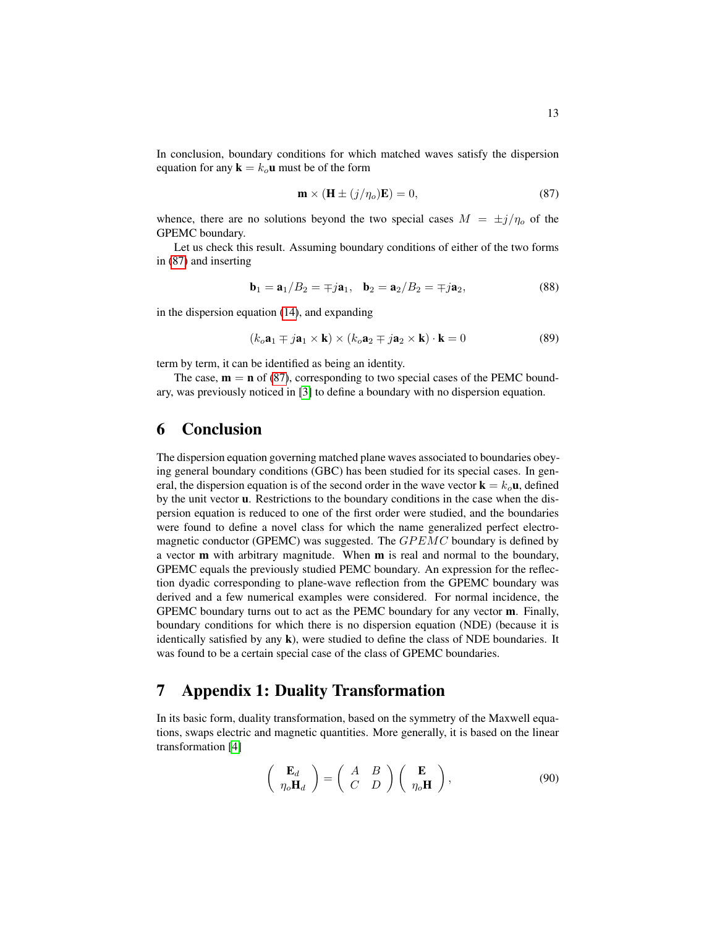In conclusion, boundary conditions for which matched waves satisfy the dispersion equation for any  $\mathbf{k} = k_o \mathbf{u}$  must be of the form

<span id="page-12-1"></span>
$$
\mathbf{m} \times (\mathbf{H} \pm (j/\eta_o)\mathbf{E}) = 0,\tag{87}
$$

whence, there are no solutions beyond the two special cases  $M = \pm j/\eta_0$  of the GPEMC boundary.

Let us check this result. Assuming boundary conditions of either of the two forms in [\(87\)](#page-12-1) and inserting

$$
\mathbf{b}_1 = \mathbf{a}_1 / B_2 = \mp j \mathbf{a}_1, \quad \mathbf{b}_2 = \mathbf{a}_2 / B_2 = \mp j \mathbf{a}_2, \tag{88}
$$

in the dispersion equation [\(14\)](#page-2-1), and expanding

$$
(k_o \mathbf{a}_1 \mp j \mathbf{a}_1 \times \mathbf{k}) \times (k_o \mathbf{a}_2 \mp j \mathbf{a}_2 \times \mathbf{k}) \cdot \mathbf{k} = 0 \tag{89}
$$

term by term, it can be identified as being an identity.

The case,  $\mathbf{m} = \mathbf{n}$  of [\(87\)](#page-12-1), corresponding to two special cases of the PEMC boundary, was previously noticed in [\[3\]](#page-14-1) to define a boundary with no dispersion equation.

## 6 Conclusion

The dispersion equation governing matched plane waves associated to boundaries obeying general boundary conditions (GBC) has been studied for its special cases. In general, the dispersion equation is of the second order in the wave vector  $\mathbf{k} = k_{o} \mathbf{u}$ , defined by the unit vector u. Restrictions to the boundary conditions in the case when the dispersion equation is reduced to one of the first order were studied, and the boundaries were found to define a novel class for which the name generalized perfect electromagnetic conductor (GPEMC) was suggested. The  $GPEMC$  boundary is defined by a vector m with arbitrary magnitude. When m is real and normal to the boundary, GPEMC equals the previously studied PEMC boundary. An expression for the reflection dyadic corresponding to plane-wave reflection from the GPEMC boundary was derived and a few numerical examples were considered. For normal incidence, the GPEMC boundary turns out to act as the PEMC boundary for any vector m. Finally, boundary conditions for which there is no dispersion equation (NDE) (because it is identically satisfied by any  $\bf{k}$ ), were studied to define the class of NDE boundaries. It was found to be a certain special case of the class of GPEMC boundaries.

## 7 Appendix 1: Duality Transformation

In its basic form, duality transformation, based on the symmetry of the Maxwell equations, swaps electric and magnetic quantities. More generally, it is based on the linear transformation [\[4\]](#page-14-3)

<span id="page-12-0"></span>
$$
\begin{pmatrix} \mathbf{E}_d \\ \eta_o \mathbf{H}_d \end{pmatrix} = \begin{pmatrix} A & B \\ C & D \end{pmatrix} \begin{pmatrix} \mathbf{E} \\ \eta_o \mathbf{H} \end{pmatrix}, \tag{90}
$$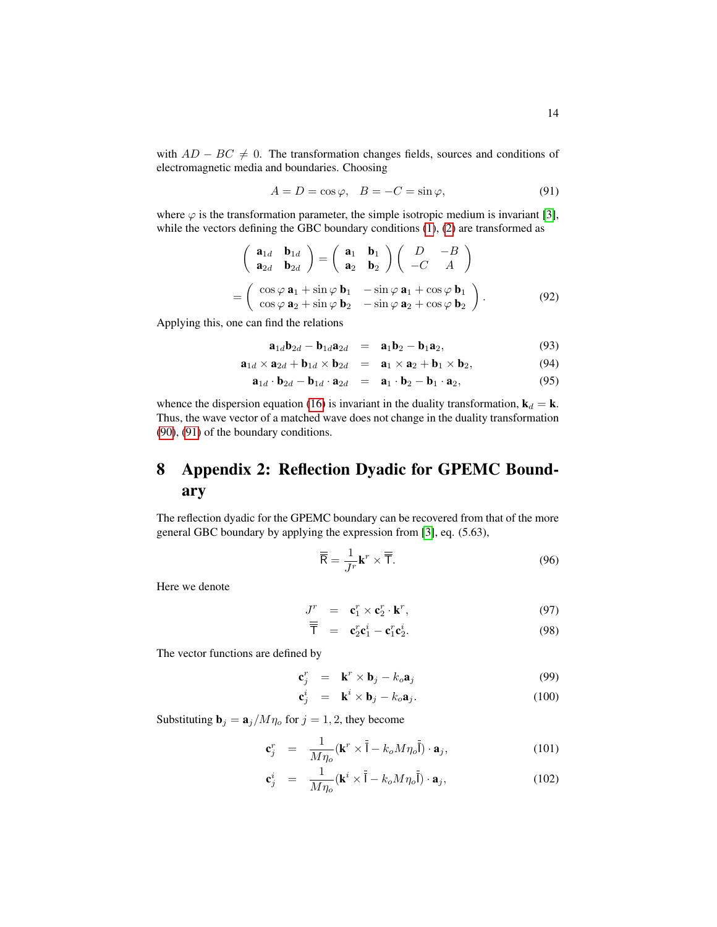with  $AD - BC \neq 0$ . The transformation changes fields, sources and conditions of electromagnetic media and boundaries. Choosing

<span id="page-13-0"></span>
$$
A = D = \cos \varphi, \quad B = -C = \sin \varphi,\tag{91}
$$

where  $\varphi$  is the transformation parameter, the simple isotropic medium is invariant [\[3\]](#page-14-1), while the vectors defining the GBC boundary conditions  $(1)$ ,  $(2)$  are transformed as

<span id="page-13-1"></span>
$$
\begin{pmatrix}\n\mathbf{a}_{1d} & \mathbf{b}_{1d} \\
\mathbf{a}_{2d} & \mathbf{b}_{2d}\n\end{pmatrix} = \begin{pmatrix}\n\mathbf{a}_1 & \mathbf{b}_1 \\
\mathbf{a}_2 & \mathbf{b}_2\n\end{pmatrix} \begin{pmatrix}\nD & -B \\
-C & A\n\end{pmatrix}
$$
\n
$$
= \begin{pmatrix}\n\cos \varphi \mathbf{a}_1 + \sin \varphi \mathbf{b}_1 & -\sin \varphi \mathbf{a}_1 + \cos \varphi \mathbf{b}_1 \\
\cos \varphi \mathbf{a}_2 + \sin \varphi \mathbf{b}_2 & -\sin \varphi \mathbf{a}_2 + \cos \varphi \mathbf{b}_2\n\end{pmatrix}.
$$
\n(92)

Applying this, one can find the relations

$$
\mathbf{a}_{1d}\mathbf{b}_{2d} - \mathbf{b}_{1d}\mathbf{a}_{2d} = \mathbf{a}_1\mathbf{b}_2 - \mathbf{b}_1\mathbf{a}_2, \tag{93}
$$

$$
\mathbf{a}_{1d} \times \mathbf{a}_{2d} + \mathbf{b}_{1d} \times \mathbf{b}_{2d} = \mathbf{a}_1 \times \mathbf{a}_2 + \mathbf{b}_1 \times \mathbf{b}_2, \tag{94}
$$

$$
\mathbf{a}_{1d} \cdot \mathbf{b}_{2d} - \mathbf{b}_{1d} \cdot \mathbf{a}_{2d} = \mathbf{a}_1 \cdot \mathbf{b}_2 - \mathbf{b}_1 \cdot \mathbf{a}_2, \tag{95}
$$

whence the dispersion equation [\(16\)](#page-2-2) is invariant in the duality transformation,  $\mathbf{k}_d = \mathbf{k}$ . Thus, the wave vector of a matched wave does not change in the duality transformation [\(90\)](#page-12-0), [\(91\)](#page-13-0) of the boundary conditions.

## 8 Appendix 2: Reflection Dyadic for GPEMC Boundary

The reflection dyadic for the GPEMC boundary can be recovered from that of the more general GBC boundary by applying the expression from [\[3\]](#page-14-1), eq. (5.63),

$$
\overline{\overline{\mathsf{R}}} = \frac{1}{J^r} \mathbf{k}^r \times \overline{\overline{\mathsf{T}}}.
$$
 (96)

Here we denote

$$
J^r = \mathbf{c}_1^r \times \mathbf{c}_2^r \cdot \mathbf{k}^r, \tag{97}
$$

$$
\overline{\mathsf{T}} = \mathbf{c}_2^r \mathbf{c}_1^i - \mathbf{c}_1^r \mathbf{c}_2^i. \tag{98}
$$

The vector functions are defined by

$$
\mathbf{c}_j^r = \mathbf{k}^r \times \mathbf{b}_j - k_o \mathbf{a}_j \tag{99}
$$

$$
\mathbf{c}_j^i = \mathbf{k}^i \times \mathbf{b}_j - k_o \mathbf{a}_j. \tag{100}
$$

Substituting  $\mathbf{b}_j = \mathbf{a}_j/M\eta_o$  for  $j = 1, 2$ , they become

$$
\mathbf{c}_{j}^{r} = \frac{1}{M\eta_{o}} (\mathbf{k}^{r} \times \bar{\bar{\mathbf{I}}} - k_{o} M \eta_{o} \bar{\bar{\mathbf{I}}}) \cdot \mathbf{a}_{j}, \qquad (101)
$$

$$
\mathbf{c}_j^i = \frac{1}{M\eta_o} (\mathbf{k}^i \times \bar{\bar{\mathbf{I}}} - k_o M \eta_o \bar{\mathbf{I}}) \cdot \mathbf{a}_j, \qquad (102)
$$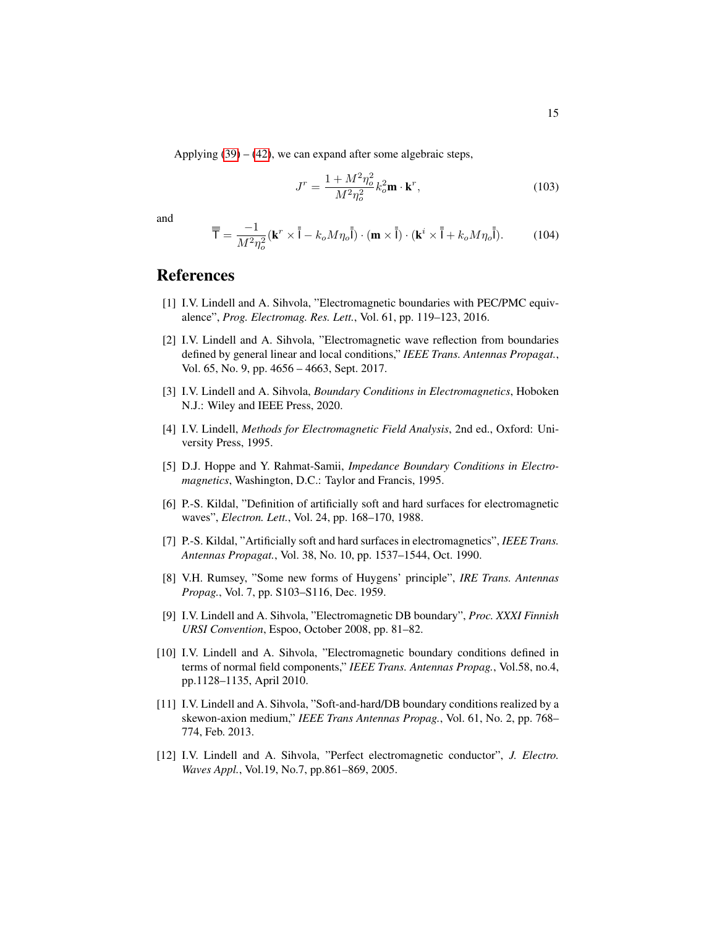Applying  $(39) - (42)$  $(39) - (42)$  $(39) - (42)$ , we can expand after some algebraic steps,

$$
J^r = \frac{1 + M^2 \eta_o^2}{M^2 \eta_o^2} k_o^2 \mathbf{m} \cdot \mathbf{k}^r,
$$
 (103)

and

$$
\overline{\overline{T}} = \frac{-1}{M^2 \eta_o^2} (\mathbf{k}^r \times \overline{\overline{I}} - k_o M \eta_o \overline{\overline{I}}) \cdot (\mathbf{m} \times \overline{\overline{I}}) \cdot (\mathbf{k}^i \times \overline{\overline{I}} + k_o M \eta_o \overline{\overline{I}}).
$$
 (104)

## References

- <span id="page-14-0"></span>[1] I.V. Lindell and A. Sihvola, "Electromagnetic boundaries with PEC/PMC equivalence", *Prog. Electromag. Res. Lett.*, Vol. 61, pp. 119–123, 2016.
- <span id="page-14-2"></span>[2] I.V. Lindell and A. Sihvola, "Electromagnetic wave reflection from boundaries defined by general linear and local conditions," *IEEE Trans. Antennas Propagat.*, Vol. 65, No. 9, pp. 4656 – 4663, Sept. 2017.
- <span id="page-14-1"></span>[3] I.V. Lindell and A. Sihvola, *Boundary Conditions in Electromagnetics*, Hoboken N.J.: Wiley and IEEE Press, 2020.
- <span id="page-14-3"></span>[4] I.V. Lindell, *Methods for Electromagnetic Field Analysis*, 2nd ed., Oxford: University Press, 1995.
- <span id="page-14-4"></span>[5] D.J. Hoppe and Y. Rahmat-Samii, *Impedance Boundary Conditions in Electromagnetics*, Washington, D.C.: Taylor and Francis, 1995.
- <span id="page-14-5"></span>[6] P.-S. Kildal, "Definition of artificially soft and hard surfaces for electromagnetic waves", *Electron. Lett.*, Vol. 24, pp. 168–170, 1988.
- <span id="page-14-6"></span>[7] P.-S. Kildal, "Artificially soft and hard surfaces in electromagnetics", *IEEE Trans. Antennas Propagat.*, Vol. 38, No. 10, pp. 1537–1544, Oct. 1990.
- <span id="page-14-7"></span>[8] V.H. Rumsey, "Some new forms of Huygens' principle", *IRE Trans. Antennas Propag.*, Vol. 7, pp. S103–S116, Dec. 1959.
- [9] I.V. Lindell and A. Sihvola, "Electromagnetic DB boundary", *Proc. XXXI Finnish URSI Convention*, Espoo, October 2008, pp. 81–82.
- <span id="page-14-8"></span>[10] I.V. Lindell and A. Sihvola, "Electromagnetic boundary conditions defined in terms of normal field components," *IEEE Trans. Antennas Propag.*, Vol.58, no.4, pp.1128–1135, April 2010.
- <span id="page-14-9"></span>[11] I.V. Lindell and A. Sihvola, "Soft-and-hard/DB boundary conditions realized by a skewon-axion medium," *IEEE Trans Antennas Propag.*, Vol. 61, No. 2, pp. 768– 774, Feb. 2013.
- <span id="page-14-10"></span>[12] I.V. Lindell and A. Sihvola, "Perfect electromagnetic conductor", *J. Electro. Waves Appl.*, Vol.19, No.7, pp.861–869, 2005.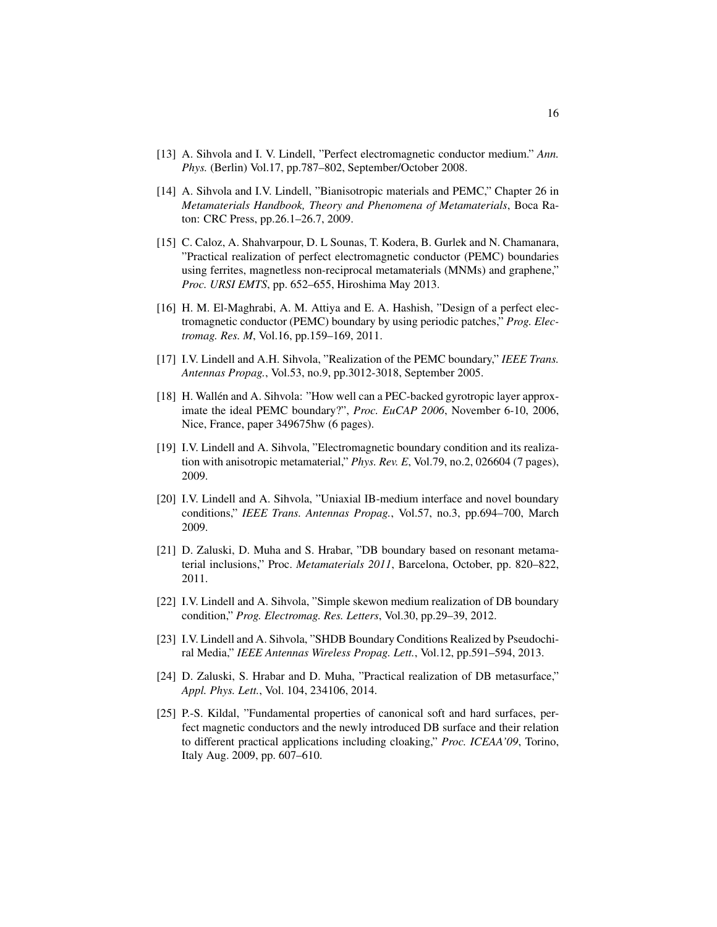- [13] A. Sihvola and I. V. Lindell, "Perfect electromagnetic conductor medium." *Ann. Phys.* (Berlin) Vol.17, pp.787–802, September/October 2008.
- <span id="page-15-0"></span>[14] A. Sihvola and I.V. Lindell, "Bianisotropic materials and PEMC," Chapter 26 in *Metamaterials Handbook, Theory and Phenomena of Metamaterials*, Boca Raton: CRC Press, pp.26.1–26.7, 2009.
- <span id="page-15-1"></span>[15] C. Caloz, A. Shahvarpour, D. L Sounas, T. Kodera, B. Gurlek and N. Chamanara, "Practical realization of perfect electromagnetic conductor (PEMC) boundaries using ferrites, magnetless non-reciprocal metamaterials (MNMs) and graphene," *Proc. URSI EMTS*, pp. 652–655, Hiroshima May 2013.
- [16] H. M. El-Maghrabi, A. M. Attiya and E. A. Hashish, "Design of a perfect electromagnetic conductor (PEMC) boundary by using periodic patches," *Prog. Electromag. Res. M*, Vol.16, pp.159–169, 2011.
- [17] I.V. Lindell and A.H. Sihvola, "Realization of the PEMC boundary," *IEEE Trans. Antennas Propag.*, Vol.53, no.9, pp.3012-3018, September 2005.
- [18] H. Wallén and A. Sihvola: "How well can a PEC-backed gyrotropic layer approximate the ideal PEMC boundary?", *Proc. EuCAP 2006*, November 6-10, 2006, Nice, France, paper 349675hw (6 pages).
- [19] I.V. Lindell and A. Sihvola, "Electromagnetic boundary condition and its realization with anisotropic metamaterial," *Phys. Rev. E*, Vol.79, no.2, 026604 (7 pages), 2009.
- [20] I.V. Lindell and A. Sihvola, "Uniaxial IB-medium interface and novel boundary conditions," *IEEE Trans. Antennas Propag.*, Vol.57, no.3, pp.694–700, March 2009.
- [21] D. Zaluski, D. Muha and S. Hrabar, "DB boundary based on resonant metamaterial inclusions," Proc. *Metamaterials 2011*, Barcelona, October, pp. 820–822, 2011.
- [22] I.V. Lindell and A. Sihvola, "Simple skewon medium realization of DB boundary condition," *Prog. Electromag. Res. Letters*, Vol.30, pp.29–39, 2012.
- [23] I.V. Lindell and A. Sihvola, "SHDB Boundary Conditions Realized by Pseudochiral Media," *IEEE Antennas Wireless Propag. Lett.*, Vol.12, pp.591–594, 2013.
- <span id="page-15-2"></span>[24] D. Zaluski, S. Hrabar and D. Muha, "Practical realization of DB metasurface," *Appl. Phys. Lett.*, Vol. 104, 234106, 2014.
- <span id="page-15-3"></span>[25] P.-S. Kildal, "Fundamental properties of canonical soft and hard surfaces, perfect magnetic conductors and the newly introduced DB surface and their relation to different practical applications including cloaking," *Proc. ICEAA'09*, Torino, Italy Aug. 2009, pp. 607–610.